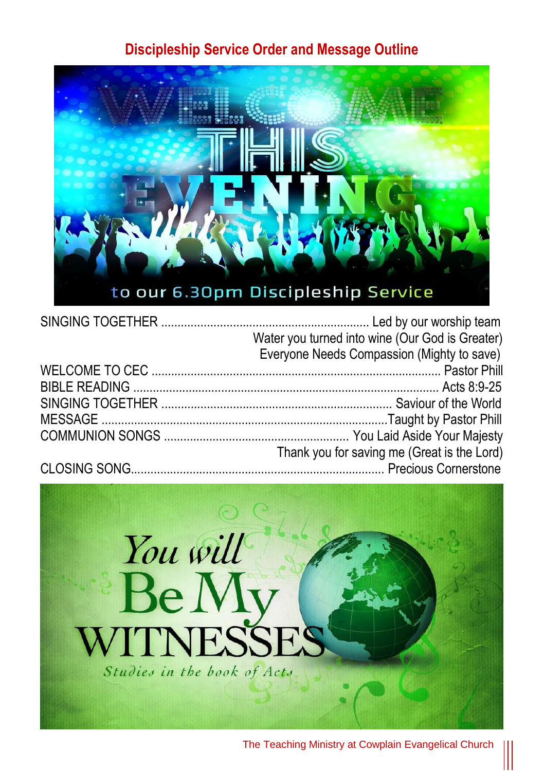#### **Discipleship Service Order and Message Outline**



| Water you turned into wine (Our God is Greater) |
|-------------------------------------------------|
| Everyone Needs Compassion (Mighty to save)      |
|                                                 |
|                                                 |
|                                                 |
|                                                 |
|                                                 |
| Thank you for saving me (Great is the Lord)     |
|                                                 |
|                                                 |

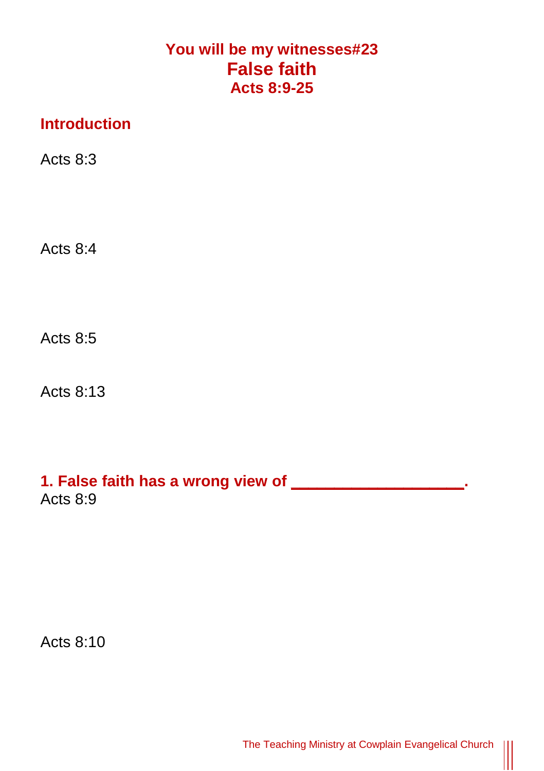# **You will be my witnesses#23 False faith Acts 8:9-25**

## **Introduction**

Acts 8:3

Acts 8:4

Acts 8:5

Acts 8:13

## **1. False faith has a wrong view of \_\_\_\_\_\_\_\_\_\_\_\_\_\_\_\_\_\_\_\_.** Acts 8:9

Acts 8:10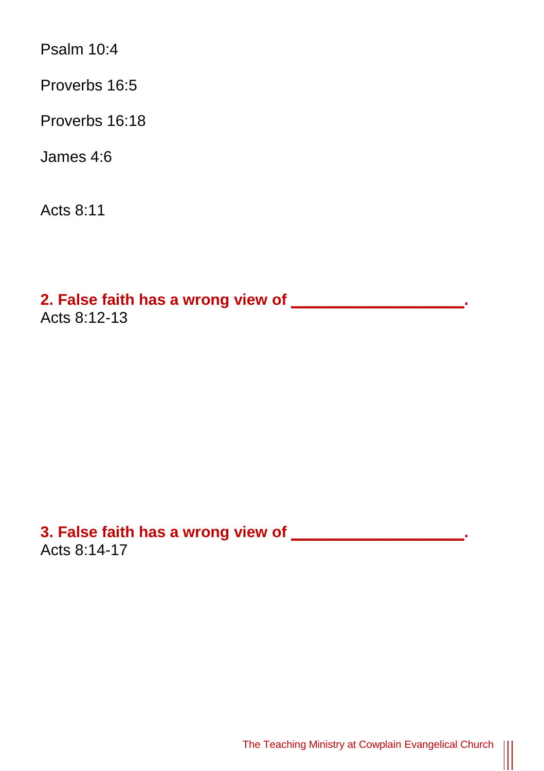Psalm 10:4

Proverbs 16:5

Proverbs 16:18

James 4:6

Acts 8:11

**2. False faith has a wrong view of \_\_\_\_\_\_\_\_\_\_\_\_\_\_\_\_\_\_\_\_.** Acts 8:12-13

**3. False faith has a wrong view of \_\_\_\_\_\_\_\_\_\_\_\_\_\_\_\_\_\_\_\_.** Acts 8:14-17